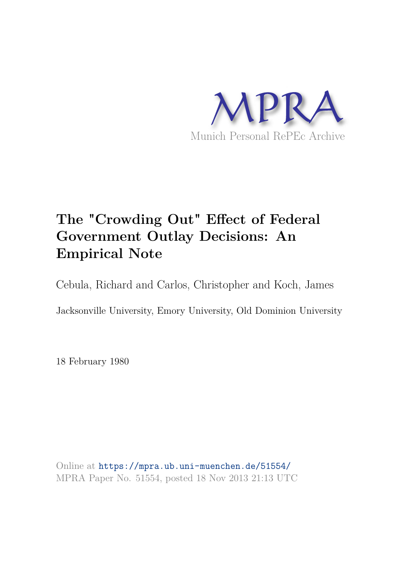

# **The "Crowding Out" Effect of Federal Government Outlay Decisions: An Empirical Note**

Cebula, Richard and Carlos, Christopher and Koch, James

Jacksonville University, Emory University, Old Dominion University

18 February 1980

Online at https://mpra.ub.uni-muenchen.de/51554/ MPRA Paper No. 51554, posted 18 Nov 2013 21:13 UTC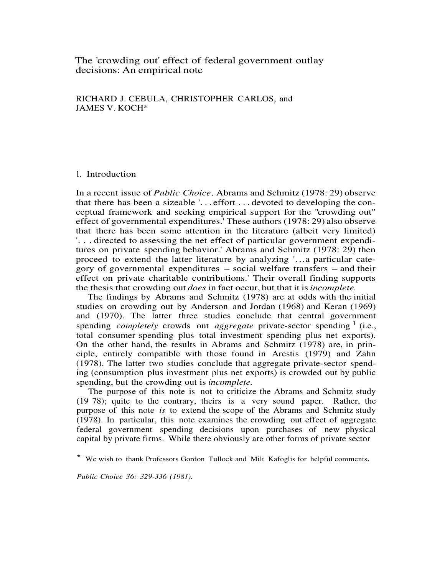# The 'crowding out' effect of federal government outlay decisions: An empirical note

# RICHARD J. CEBULA, CHRISTOPHER CARLOS, and JAMES V. KOCH\*

# l. Introduction

In a recent issue of *Public Choice ,* Abrams and Schmitz (1978: 29) observe that there has been a sizeable '. . . effort . . . devoted to developing the conceptual framework and seeking empirical support for the "crowding out" effect of governmental expenditures.' These authors (1978: 29) also observe that there has been some attention in the literature (albeit very limited) '. . . directed to assessing the net effect of particular government expenditures on private spending behavior.' Abrams and Schmitz (1978: 29) then proceed to extend the latter literature by analyzing '…a particular category of governmental expenditures  $-$  social welfare transfers  $-$  and their effect on private charitable contributions.' Their overall finding supports the thesis that crowding out *does* in fact occur, but that it is*incomplete.*

The findings by Abrams and Schmitz (1978) are at odds with the initial studies on crowding out by Anderson and Jordan (1968) and Keran (1969) and (1970). The latter three studies conclude that central government spending *completely* crowds out *aggregate* private-sector spending <sup>1</sup> (i.e., total consumer spending plus total investment spending plus net exports). On the other hand, the results in Abrams and Schmitz (1978) are, in principle, entirely compatible with those found in Arestis (1979) and Zahn (1978). The latter two studies conclude that aggregate private-sector spending (consumption plus investment plus net exports) is crowded out by public spending, but the crowding out is *incomplete.*

The purpose of this note is not to criticize the Abrams and Schmitz study (19 78); quite to the contrary, theirs is a very sound paper. Rather, the purpose of this note *is* to extend the scope of the Abrams and Schmitz study (1978). In particular, this note examines the crowding out effect of aggregate federal government spending decisions upon purchases of new physical capital by private firms. While there obviously are other forms of private sector

\* We wish to thank Professors Gordon Tullock and Milt Kafoglis for helpful comments**.**

*Public Choice 36: 329-336 (1981).*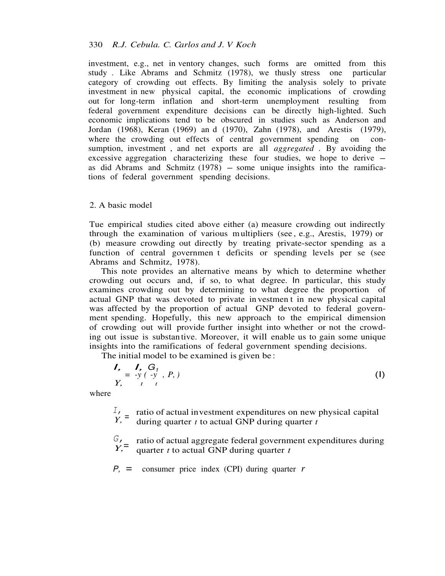investment, e.g., net in ventory changes, such forms are omitted from this study . Like Abrams and Schmitz (1978), we thusly stress one particular category of crowding out effects. By limiting the analysis solely to private investment in new physical capital, the economic implications of crowding out for long-term inflation and short-term unemployment resulting from federal government expenditure decisions can be directly high-lighted. Such economic implications tend to be obscured in studies such as Anderson and Jordan (1968), Keran (1969) an d (1970), Zahn (1978), and Arestis (1979), where the crowding out effects of central government spending on consumption, investment , and net exports are all *aggregated .* By avoiding the excessive aggregation characterizing these four studies, we hope to derive  $$ as did Abrams and Schmitz  $(1978)$  – some unique insights into the ramifications of federal government spending decisions.

#### 2. A basic model

Tue empirical studies cited above either (a) measure crowding out indirectly through the examination of various m ultipliers (see , e.g., Arestis, 1979) or (b) measure crowding out directly by treating private-sector spending as a function of central governmen t deficits or spending levels per se (see Abrams and Schmitz, 1978).

This note provides an alternative means by which to determine whether crowding out occurs and, if so, to what degree. In particular, this study examines crowding out by determining to what degree the proportion of actual GNP that was devoted to private in vestmen t in new physical capital was affected by the proportion of actual GNP devoted to federal government spending. Hopefully, this new approach to the empirical dimension of crowding out will provide further insight into whether or not the crowding out issue is substan tive. Moreover, it will enable us to gain some unique insights into the ramifications of federal government spending decisions.

The initial model to be examined is given be :

$$
I, I, G1 = -y (-y, P, )
$$
  

$$
Y, t + t
$$
 (1)

where

*I,*   $\dot{Y}$ , = ratio of actual in vestment expenditures on new physical capital during quarter  $t$  to actual GNP during quarter  $t$ 

*G, Y,*= ratio of actual aggregate federal government expenditures during quarter *t* to actual GNP during quarter *t*

 $P_1$  = consumer price index (CPI) during quarter *r*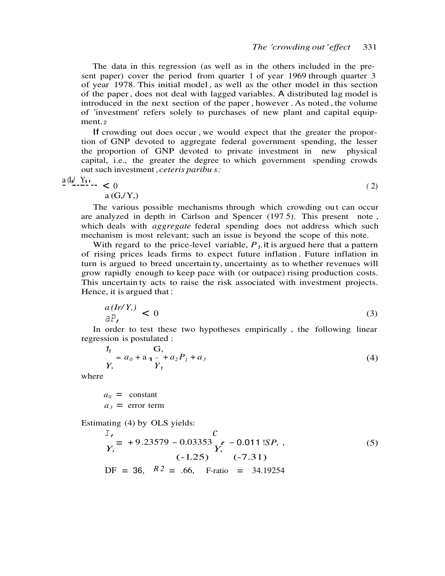The data in this regression (as well as in the others included in the present paper) cover the period from quarter 1 of year 1969 through quarter 3 of year 1978. This initial model , as well as the other model in this section of the paper , does not deal with lagged variables. A distributed lag model is introduced in the next section of the paper , however . As noted , the volume of 'investment' refers solely to purchases of new plant and capital equipment. <sup>2</sup>

If crowding out does occur , we would expect that the greater the proportion of GNP devoted to aggregate federal government spending, the lesser the proportion of GNP devoted to private investment in new physical capital, i.e., the greater the degree to which government spending crowds out such investment , *ceteris paribu s :*

$$
\frac{a\left(\frac{1}{2}\right)Y_{11}}{a\left(G_{1}/Y_{1}\right)} \tag{2}
$$

The various possible mechanisms through which crowding ou t can occur are analyzed in depth in Carlson and Spencer (197 5). This present note , which deals with *aggregate* federal spending does not address which such mechanism is most relevant; such an issue is beyond the scope of this note.

With regard to the price-level variable,  $P_1$ , it is argued here that a pattern of rising prices leads firms to expect future inflation . Future inflation in turn is argued to breed uncertain ty, uncertainty as to whether revenues will grow rapidly enough to keep pace with (or outpace) rising production costs. This uncertain ty acts to raise the risk associated with investment projects. Hence, it is argued that :

$$
\frac{a(Ir/Y)}{aP_t} < 0 \tag{3}
$$

In order to test these two hypotheses empirically , the following linear regression is postulated :

$$
\frac{1_1}{Y_1} = a_0 + a_1 - a_2 P_1 + a_3
$$
\n
$$
Y_1
$$
\n(4)

where

 $a_0$  = constant  $a_3$  = error term

Estimating (4) by OLS yields:

$$
\frac{I}{Y_1} = +9.23579 - 0.03353 \frac{c}{Y_1} - 0.011 1SP_1 ,
$$
\n
$$
(-1.25) \qquad (-7.31)
$$
\n
$$
DF = 36, \quad R^2 = .66, \quad F\text{-ratio} = 34.19254
$$
\n(5)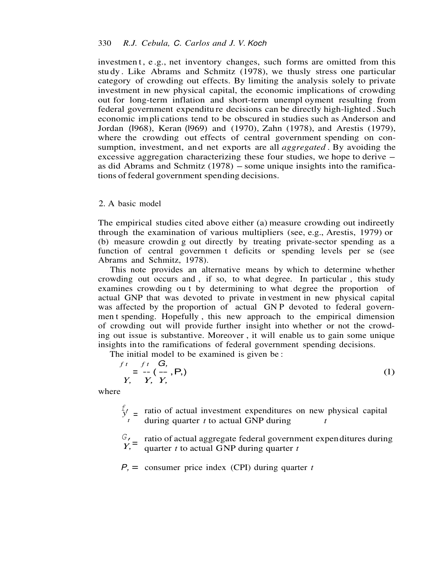investmen t, e.g., net inventory changes, such forms are omitted from this stu dy . Like Abrams and Schmitz (1978), we thusly stress one particular category of crowding out effects. By limiting the analysis solely to private investment in new physical capital, the economic implications of crowding out for long-term inflation and short-term unempl oyment resulting from federal government expenditu re decisions can be directly high-lighted . Such economic im pli cations tend to be obscured in studies such as Anderson and Jordan (I968), Keran (l969) and (1970), Zahn (1978), and Arestis (1979), where the crowding out effects of central government spending on consumption, investment, an d net exports are all *aggregated .* By avoiding the excessive aggregation characterizing these four studies, we hope to derive – as did Abrams and Schmitz  $(1978)$  – some unique insights into the ramifications of federal government spen ding decisions.

### 2. A basic model

The empirical studies cited above either (a) measure crowding out indireetly through the examination of various multipliers (see, e.g., Arestis, 1979) or (b) measure crowdin g out directly by treating private-sector spending as a function of central governmen t deficits or spending levels per se (see Abrams and Schmitz, 1978).

This note provides an alternative means by which to determine whether crowding out occurs and , if so, to what degree. In particular , this study examines crowding ou t by determining to what degree the proportion of actual GNP that was devoted to private in vestment in new physical capital was affected by the proportion of actual GN P devoted to federal governmen t spending. Hopefully , this new approach to the empirical dimension of crowding out will provide further insight into whether or not the crowding out issue is substantive. Moreover , it will enable us to gain some unique insights into the ramifications of federal government spending decisions.

The initial model to be examined is given be :

$$
\begin{aligned}\n f \, t &= f \, t \quad G, \\
 Y, & Y, Y, \\
 Y,\n \end{aligned}\n \tag{1}
$$

where

 $f_y$  = ratio of actual investment expenditures on new physical capital *t* during quarter *t* to actual GNP during *t*

*G,* ratio of actual aggregate federal government expen ditures during  $Y, \bar{=}$ quarter *t* to actual G NP during quarter *t*

*P,* = consumer price index (CPI) during quarter *t*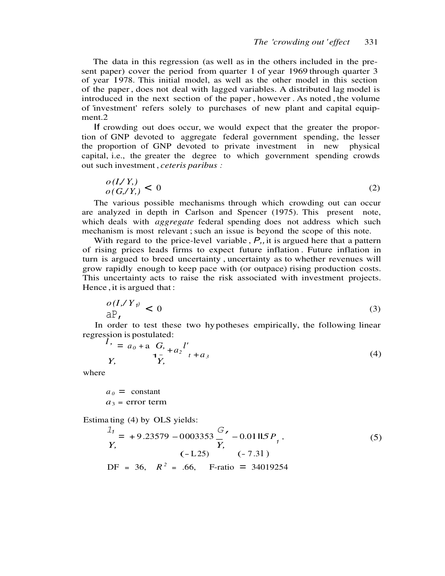The data in this regression (as well as in the others included in the present paper) cover the period from quarter 1 of year 1969 through quarter 3 of year I 978. This initial model, as well as the other model in this section of the paper , does not deal with lagged variables. A distributed lag model is introduced in the next section of the paper , however . As noted , the volume of 'investment' refers solely to purchases of new plant and capital equipment.2

If crowding out does occur, we would expect that the greater the proportion of GNP devoted to aggregate federal government spending, the lesser the proportion of GNP devoted to private investment in new physical capital, i.e., the greater the degree to which government spending crowds out such investment , *ceteris paribus :*

$$
\frac{o(I/Y)}{o(G/Y)} < 0 \tag{2}
$$

The various possible mechanisms through which crowding out can occur are analyzed in depth in Carlson and Spencer (1975). This present note, which deals with *aggregate* federal spending does not address which such mechanism is most relevant ; such an issue is beyond the scope of this note.

With regard to the price-level variable,  $P_{i}$ , it is argued here that a pattern of rising prices leads firms to expect future inflation . Future inflation in turn is argued to breed uncertainty , uncertainty as to whether revenues will grow rapidly enough to keep pace with (or outpace) rising production costs. This uncertainty acts to raise the risk associated with investment projects. Hence , it is argued that :

$$
\frac{o(I, Y)}{\mathsf{a} \mathsf{P}_I} < 0 \tag{3}
$$

In order to test these two hy potheses empirically, the following linear regression is postulated:<br> $I_1 = a_0 + a_1 G$ 

$$
I' = a_0 + a \frac{G}{1 - x} + a_2 I' + a_3
$$
  
Y, 
$$
I' = a_0 + a \frac{G}{1 - x} + a_3
$$
 (4)

where

 $a_0 = constant$  $a_3$  = error term

*o (I,/ Y <sup>1</sup>*

Estima ting (4) by OLS yields:

$$
\frac{1}{t} = +9.23579 - 0003353 \frac{G}{Y} - 0.01 \text{ mJs } P_1,
$$
  
\n
$$
Y,
$$
\n
$$
(-L25) \qquad (-7.31)
$$
\nDF = 36,  $R^2$  = .66, F-ratio = 34019254 (5)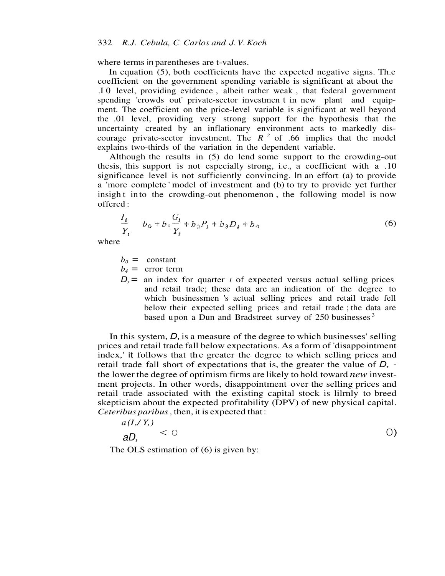where terms in parentheses are t-values.

In equation (5), both coefficients have the expected negative signs. Th.e coefficient on the government spending variable is significant at about the .I 0 level, providing evidence , albeit rather weak , that federal government spending 'crowds out' private-sector investmen t in new plant and equipment. The coefficient on the price-level variable is significant at well beyond the .01 level, providing very strong support for the hypothesis that the uncertainty created by an inflationary environment acts to markedly discourage private-sector investment. The  $R^2$  of .66 implies that the model explains two-thirds of the variation in the dependent variable.

Although the results in (5) do lend some support to the crowding-out thesis, this support is not especially strong, i.e., a coefficient with a .10 significance level is not sufficiently convincing. In an effort (a) to provide a 'more complete ' model of investment and (b) to try to provide yet further insight into the crowding-out phenomenon, the following model is now offered :

$$
\frac{I_t}{Y_t} \t b_0 + b_1 \frac{G_t}{Y_t} + b_2 P_t + b_3 D_t + b_4
$$
 (6)

where

 $b_0$  = constant

 $b_4$  = error term

 $D<sub>i</sub>$  = an index for quarter *t* of expected versus actual selling prices and retail trade; these data are an indication of the degree to which businessmen 's actual selling prices and retail trade fell below their expected selling prices and retail trade ; the data are based upon a Dun and Bradstreet survey of  $250$  businesses  $3$ 

In this system, *D,* is a measure of the degree to which businesses' selling prices and retail trade fall below expectations. As a form of 'disappointment index,' it follows that the greater the degree to which selling prices and retail trade fall short of expectations that is, the greater the value of *D,* the lower the degree of optimism firms are likely to hold toward *new* investment projects. In other words, disappointment over the selling prices and retail trade associated with the existing capital stock is lilrnly to breed skepticism about the expected profitability (DPV) of new physical capital. *Ceteribus paribus ,* then, it is expected that :

$$
\frac{a(I,Y)}{aD}\n\leq 0
$$

The OLS estimation of  $(6)$  is given by: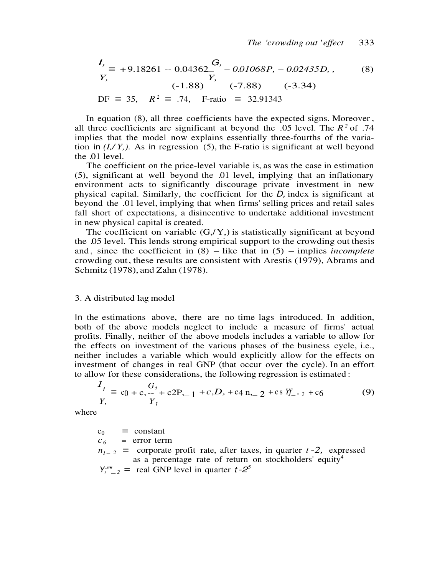$$
I_{\prime} = +9.18261 - 0.04362 \frac{G}{Y_{\prime}} - 0.01068P_{\prime} - 0.02435D_{\prime},
$$
 (8)  
\n
$$
Y_{\prime}
$$
 (-1.88) (-7.88) (-3.34)  
\nDF = 35,  $R^2 = .74$ , F-ratio = 32.91343

In equation (8), all three coefficients have the expected signs. Moreover , all three coefficients are significant at beyond the .05 level. The  $R^2$  of .74 implies that the model now explains essentially three-fourths of the variation in  $(I, Y, Y)$ . As in regression (5), the F-ratio is significant at well beyond the .01 level.

The coefficient on the price-level variable is, as was the case in estimation (5), significant at well beyond the .01 level, implying that an inflationary environment acts to significantly discourage private investment in new physical capital. Similarly, the coefficient for the *D,* index is significant at beyond the .01 level, implying that when firms' selling prices and retail sales fall short of expectations, a disincentive to undertake additional investment in new physical capital is created.

The coefficient on variable  $(G, /Y)$  is statistically significant at beyond the .05 level. This lends strong empirical support to the crowding out thesis and, since the coefficient in  $(8)$  – like that in  $(5)$  – implies *incomplete* crowding out , these results are consistent with Arestis (1979), Abrams and Schmitz (1978), and Zahn (1978).

#### 3. A distributed lag model

In the estimations above, there are no time lags introduced. In addition, both of the above models neglect to include a measure of firms' actual profits. Finally, neither of the above models includes a variable to allow for the effects on investment of the various phases of the business cycle, i.e., neither includes a variable which would explicitly allow for the effects on investment of changes in real GNP (that occur over the cycle). In an effort to allow for these considerations, the following regression is estimated :

$$
\frac{I_1}{Y_1} = c_0 + c_1 - \frac{G_1}{Y_1} + c_2 P_{1} - 1 + c_3 D_2 + c_4 P_{1} - 2 + c_5 P_{1} - 2 + c_6
$$
(9)

where

 $c_0$  = constant  $c_6$  = error term  $n_{1-2}$  = corporate profit rate, after taxes, in quarter *t* -2, expressed as a percentage rate of return on stockholders' equity<sup>4</sup>  $Y''''_{2}$  = real GNP level in quarter  $t - 2^5$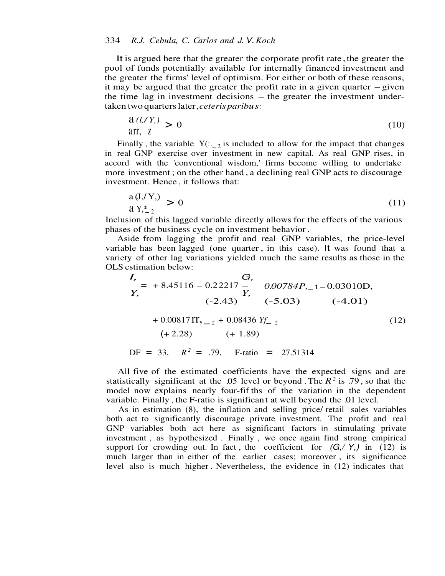It is argued here that the greater the corporate profit rate , the greater the pool of funds potentially available for internally financed investment and the greater the firms' level of optimism. For either or both of these reasons, it may be argued that the greater the profit rate in a given quarter - given it may be argued that the greater the profit rate in a given quarter  $-$  given the time lag in investment decisions  $-$  the greater the investment undertaken two quarters later , *ceteris paribu s :*

$$
\frac{a(l,Y)}{a\pi, Z} > 0 \tag{10}
$$

Finally, the variable  $Y(:,_2)$  is included to allow for the impact that changes in real GNP exercise over investment in new capital. As real GNP rises, in accord with the 'conventional wisdom,' firms become willing to undertake more investment ; on the other hand , a declining real GNP acts to discourage investment. Hence , it follows that:

$$
\begin{array}{l}\n\text{a (J,'Y,)}\\
\text{a Y,}^*_{-2}\n\end{array}\n\big\rbrace \tag{11}
$$

Inclusion of this lagged variable directly allows for the effects of the various phases of the business cycle on investment behavior .

Aside from lagging the profit and real GNP variables, the price-level variable has been lagged (one quarter , in this case). It was found that a variety of other lag variations yielded much the same results as those in the OLS estimation below:

$$
I_{r} = +8.45116 - 0.22217 - 0.00784P_{r-1} - 0.03010D,
$$
  
\n
$$
Y_{r} = +8.45116 - 0.22217 - 0.00784P_{r-1} - 0.03010D,
$$
  
\n
$$
(-2.43) (-5.03) (-4.01)
$$
  
\n
$$
+ 0.00817 \text{ IT}_{r-2} + 0.08436 \text{ Y}_{r-2}
$$
  
\n
$$
(+ 2.28) (+ 1.89)
$$
  
\nDF = 33,  $R^{2} = .79$ , F-ratio = 27.51314

All five of the estimated coefficients have the expected signs and are statistically significant at the .05 level or beyond. The  $R^2$  is .79, so that the model now explains nearly four-fif ths of the variation in the dependent variable. Finally , the F-ratio is significan t at well beyond the .01 level.

As in estimation (8), the inflation and selling price/ retail sales variables both act to significantly discourage private investment. The profit and real GNP variables both act here as significant factors in stimulating private investment , as hypothesized . Finally , we once again find strong empirical support for crowding out. In fact, the coefficient for  $(G, Y)$  in (12) is much larger than in either of the earlier cases; moreover , its significance level also is much higher . Nevertheless, the evidence in (12) indicates that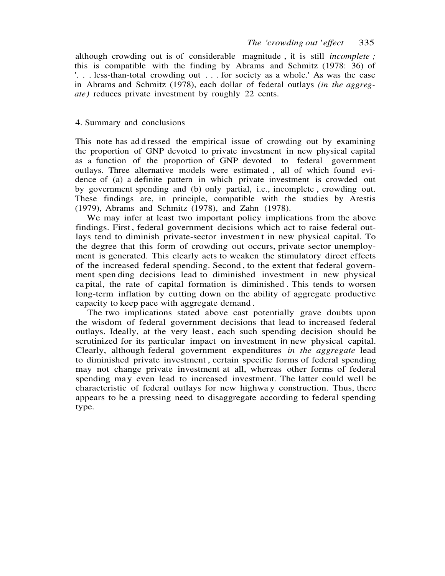although crowding out is of considerable magnitude , it is still *incomplete ;* this is compatible with the finding by Abrams and Schmitz (1978: 36) of '. . . less-than-total crowding out . . . for society as a whole.' As was the case in Abrams and Schmitz (1978), each dollar of federal outlays *(in the aggregate*) reduces private investment by roughly 22 cents.

## 4. Summary and conclusions

This note has ad d ressed the empirical issue of crowding out by examining the proportion of GNP devoted to private investment in new physical capital as a function of the proportion of GNP devoted to federal government outlays. Three alternative models were estimated , all of which found evidence of (a) a definite pattern in which private investment is crowded out by government spending and (b) only partial, i.e., incomplete , crowding out. These findings are, in principle, compatible with the studies by Arestis (1979), Abrams and Schmitz (1978), and Zahn (1978).

We may infer at least two important policy implications from the above findings. First , federal government decisions which act to raise federal outlays tend to diminish private-sector investmen t in new physical capital. To the degree that this form of crowding out occurs, private sector unemployment is generated. This clearly acts to weaken the stimulatory direct effects of the increased federal spending. Second , to the extent that federal government spen ding decisions lead to diminished investment in new physical ca pital, the rate of capital formation is diminished . This tends to worsen long-term inflation by cutting down on the ability of aggregate productive capacity to keep pace with aggregate demand .

The two implications stated above cast potentially grave doubts upon the wisdom of federal government decisions that lead to increased federal outlays. Ideally, at the very least, each such spending decision should be scrutinized for its particular impact on investment in new physical capital. Clearly, although federal government expenditures *in the aggregate* lead to diminished private investment , certain specific forms of federal spending may not change private investment at all, whereas other forms of federal spending may even lead to increased investment. The latter could well be characteristic of federal outlays for new highwa y construction. Thus, there appears to be a pressing need to disaggregate according to federal spending type.